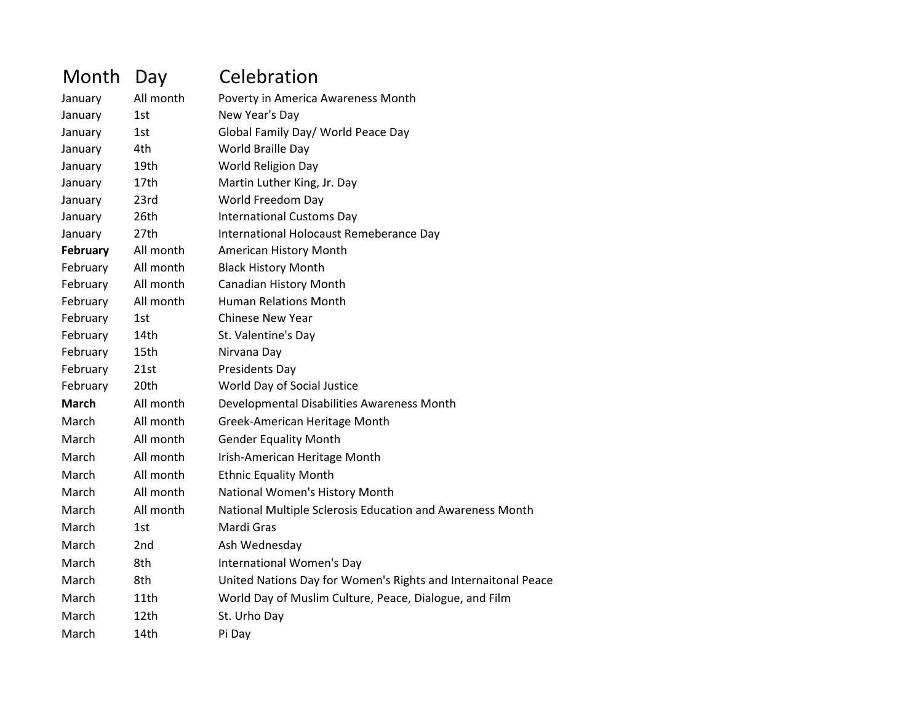| Month        | Day       | Celebration                                                   |
|--------------|-----------|---------------------------------------------------------------|
| January      | All month | Poverty in America Awareness Month                            |
| January      | 1st       | New Year's Day                                                |
| January      | 1st       | Global Family Day/ World Peace Day                            |
| January      | 4th       | World Braille Day                                             |
| January      | 19th      | World Religion Day                                            |
| January      | 17th      | Martin Luther King, Jr. Day                                   |
| January      | 23rd      | World Freedom Day                                             |
| January      | 26th      | <b>International Customs Day</b>                              |
| January      | 27th      | International Holocaust Remeberance Day                       |
| February     | All month | American History Month                                        |
| February     | All month | <b>Black History Month</b>                                    |
| February     | All month | <b>Canadian History Month</b>                                 |
| February     | All month | <b>Human Relations Month</b>                                  |
| February     | 1st       | <b>Chinese New Year</b>                                       |
| February     | 14th      | St. Valentine's Day                                           |
| February     | 15th      | Nirvana Day                                                   |
| February     | 21st      | Presidents Day                                                |
| February     | 20th      | World Day of Social Justice                                   |
| <b>March</b> | All month | Developmental Disabilities Awareness Month                    |
| March        | All month | Greek-American Heritage Month                                 |
| March        | All month | <b>Gender Equality Month</b>                                  |
| March        | All month | Irish-American Heritage Month                                 |
| March        | All month | <b>Ethnic Equality Month</b>                                  |
| March        | All month | National Women's History Month                                |
| March        | All month | National Multiple Sclerosis Education and Awareness Month     |
| March        | 1st       | Mardi Gras                                                    |
| March        | 2nd       | Ash Wednesday                                                 |
| March        | 8th       | International Women's Day                                     |
| March        | 8th       | United Nations Day for Women's Rights and Internaitonal Peace |
| March        | 11th      | World Day of Muslim Culture, Peace, Dialogue, and Film        |
| March        | 12th      | St. Urho Day                                                  |
| March        | 14th      | Pi Day                                                        |
|              |           |                                                               |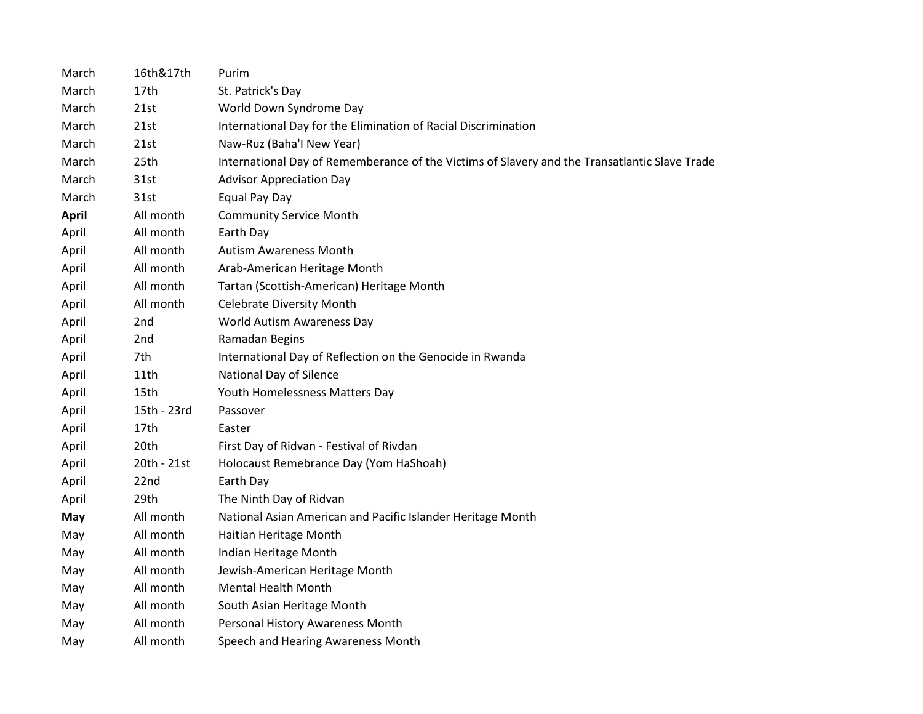| March        | 16th&17th   | Purim                                                                                         |
|--------------|-------------|-----------------------------------------------------------------------------------------------|
| March        | 17th        | St. Patrick's Day                                                                             |
| March        | 21st        | World Down Syndrome Day                                                                       |
| March        | 21st        | International Day for the Elimination of Racial Discrimination                                |
| March        | 21st        | Naw-Ruz (Baha'l New Year)                                                                     |
| March        | 25th        | International Day of Rememberance of the Victims of Slavery and the Transatlantic Slave Trade |
| March        | 31st        | <b>Advisor Appreciation Day</b>                                                               |
| March        | 31st        | Equal Pay Day                                                                                 |
| <b>April</b> | All month   | <b>Community Service Month</b>                                                                |
| April        | All month   | Earth Day                                                                                     |
| April        | All month   | <b>Autism Awareness Month</b>                                                                 |
| April        | All month   | Arab-American Heritage Month                                                                  |
| April        | All month   | Tartan (Scottish-American) Heritage Month                                                     |
| April        | All month   | <b>Celebrate Diversity Month</b>                                                              |
| April        | 2nd         | World Autism Awareness Day                                                                    |
| April        | 2nd         | Ramadan Begins                                                                                |
| April        | 7th         | International Day of Reflection on the Genocide in Rwanda                                     |
| April        | 11th        | National Day of Silence                                                                       |
| April        | 15th        | Youth Homelessness Matters Day                                                                |
| April        | 15th - 23rd | Passover                                                                                      |
| April        | 17th        | Easter                                                                                        |
| April        | 20th        | First Day of Ridvan - Festival of Rivdan                                                      |
| April        | 20th - 21st | Holocaust Remebrance Day (Yom HaShoah)                                                        |
| April        | 22nd        | Earth Day                                                                                     |
| April        | 29th        | The Ninth Day of Ridvan                                                                       |
| May          | All month   | National Asian American and Pacific Islander Heritage Month                                   |
| May          | All month   | Haitian Heritage Month                                                                        |
| May          | All month   | Indian Heritage Month                                                                         |
| May          | All month   | Jewish-American Heritage Month                                                                |
| May          | All month   | <b>Mental Health Month</b>                                                                    |
| May          | All month   | South Asian Heritage Month                                                                    |
| May          | All month   | Personal History Awareness Month                                                              |
| May          | All month   | Speech and Hearing Awareness Month                                                            |
|              |             |                                                                                               |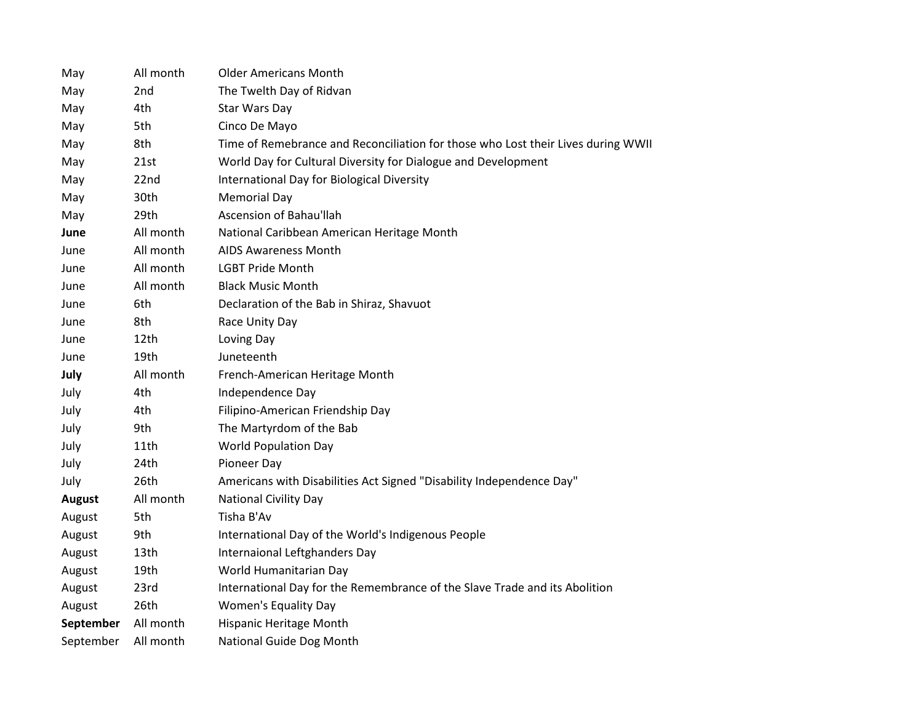| May           | All month       | <b>Older Americans Month</b>                                                     |
|---------------|-----------------|----------------------------------------------------------------------------------|
| May           | 2 <sub>nd</sub> | The Twelth Day of Ridvan                                                         |
| May           | 4th             | Star Wars Day                                                                    |
| May           | 5th             | Cinco De Mayo                                                                    |
| May           | 8th             | Time of Remebrance and Reconciliation for those who Lost their Lives during WWII |
| May           | 21st            | World Day for Cultural Diversity for Dialogue and Development                    |
| May           | 22nd            | International Day for Biological Diversity                                       |
| May           | 30th            | <b>Memorial Day</b>                                                              |
| May           | 29th            | Ascension of Bahau'llah                                                          |
| June          | All month       | National Caribbean American Heritage Month                                       |
| June          | All month       | <b>AIDS Awareness Month</b>                                                      |
| June          | All month       | <b>LGBT Pride Month</b>                                                          |
| June          | All month       | <b>Black Music Month</b>                                                         |
| June          | 6th             | Declaration of the Bab in Shiraz, Shavuot                                        |
| June          | 8th             | Race Unity Day                                                                   |
| June          | 12th            | Loving Day                                                                       |
| June          | 19th            | Juneteenth                                                                       |
| July          | All month       | French-American Heritage Month                                                   |
| July          | 4th             | Independence Day                                                                 |
| July          | 4th             | Filipino-American Friendship Day                                                 |
| July          | 9th             | The Martyrdom of the Bab                                                         |
| July          | 11th            | <b>World Population Day</b>                                                      |
| July          | 24th            | Pioneer Day                                                                      |
| July          | 26th            | Americans with Disabilities Act Signed "Disability Independence Day"             |
| <b>August</b> | All month       | <b>National Civility Day</b>                                                     |
| August        | 5th             | Tisha B'Av                                                                       |
| August        | 9th             | International Day of the World's Indigenous People                               |
| August        | 13th            | Internaional Leftghanders Day                                                    |
| August        | 19th            | World Humanitarian Day                                                           |
| August        | 23rd            | International Day for the Remembrance of the Slave Trade and its Abolition       |
| August        | 26th            | Women's Equality Day                                                             |
| September     | All month       | Hispanic Heritage Month                                                          |
| September     | All month       | National Guide Dog Month                                                         |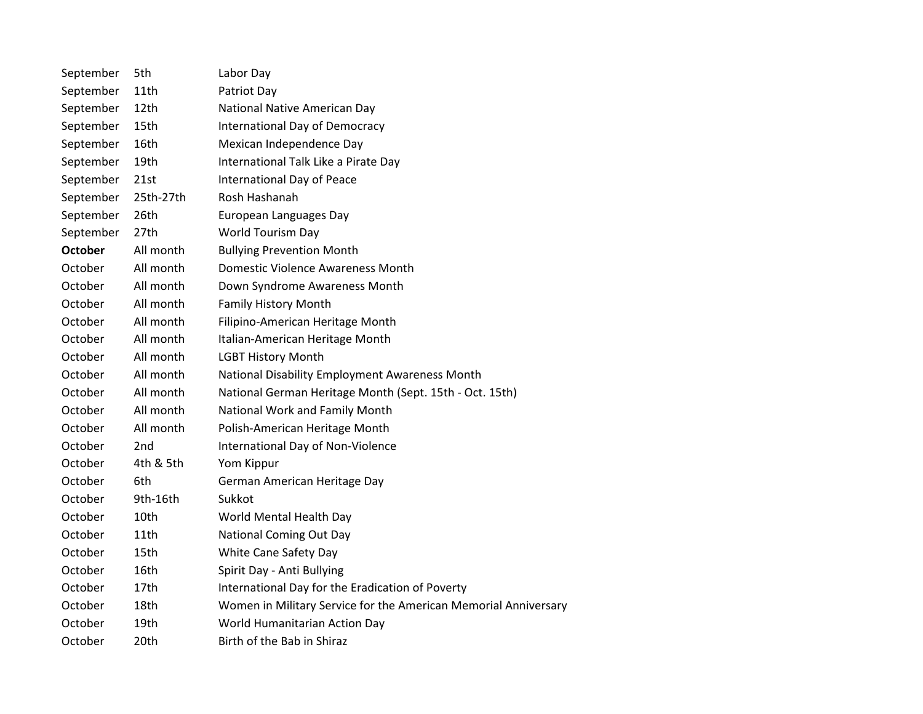| September      | 5th              | Labor Day                                                       |
|----------------|------------------|-----------------------------------------------------------------|
| September      | 11th             | Patriot Day                                                     |
| September      | 12th             | National Native American Day                                    |
| September      | 15th             | International Day of Democracy                                  |
| September      | 16th             | Mexican Independence Day                                        |
| September      | 19th             | International Talk Like a Pirate Day                            |
| September      | 21st             | International Day of Peace                                      |
| September      | 25th-27th        | Rosh Hashanah                                                   |
| September      | 26th             | European Languages Day                                          |
| September      | 27 <sub>th</sub> | World Tourism Day                                               |
| <b>October</b> | All month        | <b>Bullying Prevention Month</b>                                |
| October        | All month        | Domestic Violence Awareness Month                               |
| October        | All month        | Down Syndrome Awareness Month                                   |
| October        | All month        | <b>Family History Month</b>                                     |
| October        | All month        | Filipino-American Heritage Month                                |
| October        | All month        | Italian-American Heritage Month                                 |
| October        | All month        | <b>LGBT History Month</b>                                       |
| October        | All month        | National Disability Employment Awareness Month                  |
| October        | All month        | National German Heritage Month (Sept. 15th - Oct. 15th)         |
| October        | All month        | National Work and Family Month                                  |
| October        | All month        | Polish-American Heritage Month                                  |
| October        | 2 <sub>nd</sub>  | International Day of Non-Violence                               |
| October        | 4th & 5th        | Yom Kippur                                                      |
| October        | 6th              | German American Heritage Day                                    |
| October        | 9th-16th         | Sukkot                                                          |
| October        | 10th             | World Mental Health Day                                         |
| October        | 11th             | <b>National Coming Out Day</b>                                  |
| October        | 15th             | White Cane Safety Day                                           |
| October        | 16th             | Spirit Day - Anti Bullying                                      |
| October        | 17th             | International Day for the Eradication of Poverty                |
| October        | 18th             | Women in Military Service for the American Memorial Anniversary |
| October        | 19th             | World Humanitarian Action Day                                   |
| October        | 20th             | Birth of the Bab in Shiraz                                      |
|                |                  |                                                                 |